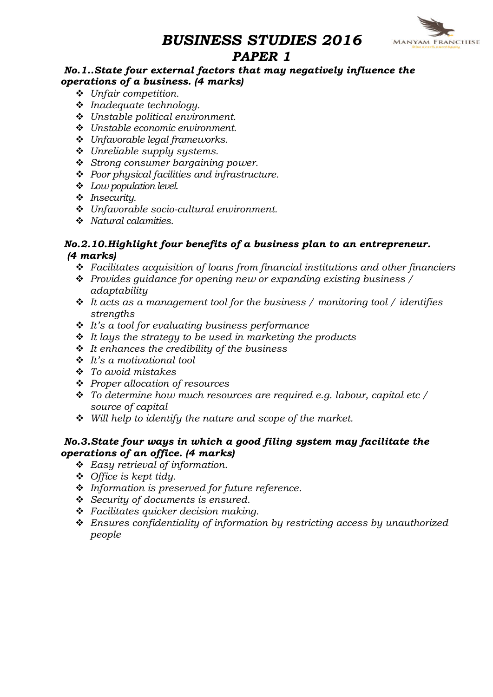# **MANYAM FRANCHISE**

# BUSINESS STUDIES 2016 PAPER 1

## No.1..State four external factors that may negatively influence the operations of a business. (4 marks)

- $\triangleleft$  Unfair competition.
- $\cdot$  Inadequate technology.
- $\div$  Unstable political environment.
- $\div$  Unstable economic environment.
- $\div$  Unfavorable legal frameworks.
- $\div$  Unreliable supply systems.
- $\div$  Strong consumer bargaining power.
- ◆ Poor physical facilities and infrastructure.
- $\triangleleft$  Low population level.
- $\cdot$  Insecurity.
- $\cdot$  Unfavorable socio-cultural environment.
- $\cdot$  Natural calamities.

## No.2.10.Highlight four benefits of a business plan to an entrepreneur. (4 marks)

- $\cdot$  Facilitates acquisition of loans from financial institutions and other financiers
- $\cdot \cdot$  Provides quidance for opening new or expanding existing business / adaptability
- $\div$  It acts as a management tool for the business / monitoring tool / identifies strengths
- $\cdot \cdot$  It's a tool for evaluating business performance
- $\div$  It lays the strategy to be used in marketing the products
- $\div$  It enhances the credibility of the business
- $\cdot$  It's a motivational tool
- $\div$  To avoid mistakes
- v Proper allocation of resources
- $\cdot \cdot$  To determine how much resources are required e.g. labour, capital etc / source of capital
- $\div$  Will help to identify the nature and scope of the market.

## No.3.State four ways in which a good filing system may facilitate the operations of an office. (4 marks)

- $\div$  Easy retrieval of information.
- $\triangleleft$  Office is kept tidy.
- $\cdot$  Information is preserved for future reference.
- $\div$  Security of documents is ensured.
- $\div$  Facilitates quicker decision making.
- $\div$  Ensures confidentiality of information by restricting access by unauthorized people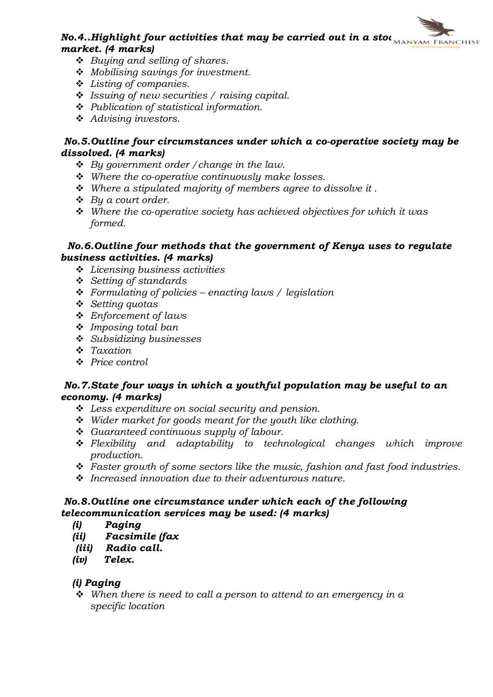# No.4..Highlight four activities that may be carried out in a stoc $\overbrace{N_{\text{MANYAM FRMCHISE}}}$ market. (4 marks)

- $\div$  Buying and selling of shares.
- $\triangleq$  Mobilising savings for investment.
- $\div$  Listing of companies.
- $\cdot$  Issuing of new securities / raising capital.
- $\div$  Publication of statistical information.
- $\triangleleft$  Advising investors.

## No.5.Outline four circumstances under which a co-operative society may be dissolved. (4 marks)

- $\triangleleft$  By government order / change in the law.
- $\div$  Where the co-operative continuously make losses.
- $\div$  Where a stipulated majority of members agree to dissolve it.
- $\triangleleft$  By a court order.
- $\cdot$  Where the co-operative society has achieved objectives for which it was formed.

#### No.6.Outline four methods that the government of Kenya uses to regulate business activities. (4 marks)

- $\div$  Licensing business activities
- $\div$  Setting of standards
- Formulating of policies enacting laws / legislation
- $\div$  Setting quotas
- $\triangle$  Enforcement of laws
- $\div$  Imposing total ban
- $\div$  Subsidizing businesses
- $\div$  Taxation
- ❖ Price control

## No.7.State four ways in which a youthful population may be useful to an economy. (4 marks)

- $\div$  Less expenditure on social security and pension.
- $\div$  Wider market for goods meant for the youth like clothing.
- $\div$  Guaranteed continuous supply of labour.
- $\div$  Flexibility and adaptability to technological changes which improve production.
- $\cdot$  Faster growth of some sectors like the music, fashion and fast food industries.
- $\cdot$  Increased innovation due to their adventurous nature.

## No.8.Outline one circumstance under which each of the following telecommunication services may be used: (4 marks)

- (i) Paging
- (ii) Facsimile (fax
- (iii) Radio call.
- (iv) Telex.

# (i) Paging

 $\cdot$  When there is need to call a person to attend to an emergency in a specific location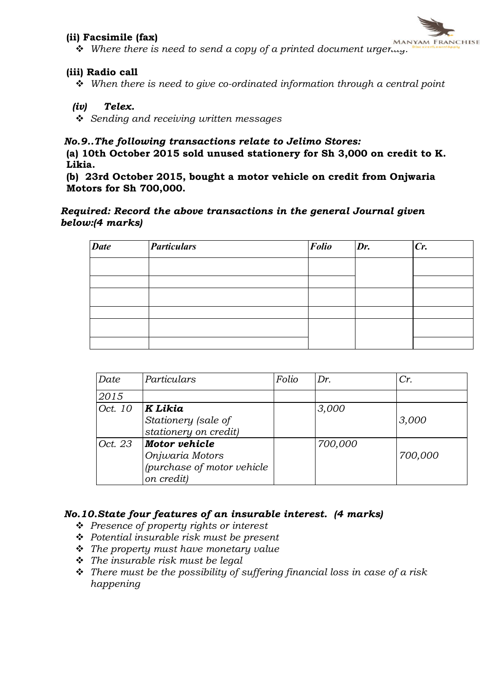#### (ii) Facsimile (fax)



**v v** WANYAM FRANCHISE<br>• Where there is need to send a copy of a printed document urgertly. The vertice in the v

#### (iii) Radio call

 $\div$  When there is need to give co-ordinated information through a central point

#### (iv) Telex.

 $\div$  Sending and receiving written messages

#### No.9..The following transactions relate to Jelimo Stores:

(a) 10th October 2015 sold unused stationery for Sh 3,000 on credit to K. Likia.

(b) 23rd October 2015, bought a motor vehicle on credit from Onjwaria Motors for Sh 700,000.

#### Required: Record the above transactions in the general Journal given below:(4 marks)

| <b>Date</b> | <b><i>Particulars</i></b> | Folio | Dr. | Cr. |
|-------------|---------------------------|-------|-----|-----|
|             |                           |       |     |     |
|             |                           |       |     |     |
|             |                           |       |     |     |
|             |                           |       |     |     |
|             |                           |       |     |     |
|             |                           |       |     |     |

| Date    | Particulars                                                                  | Folio | Dr.     | Cr.     |
|---------|------------------------------------------------------------------------------|-------|---------|---------|
| 2015    |                                                                              |       |         |         |
| Oct. 10 | K Likia<br>Stationery (sale of<br>stationery on credit)                      |       | 3,000   | 3,000   |
| Oct. 23 | Motor vehicle<br>Onjwaria Motors<br>(purchase of motor vehicle<br>on credit) |       | 700,000 | 700,000 |

#### No.10.State four features of an insurable interest. (4 marks)

- ❖ Presence of property rights or interest
- $\triangleleft$  Potential insurable risk must be present
- $\div$  The property must have monetary value
- $\cdot \cdot$  The insurable risk must be legal
- $\hat{\mathbf{v}}$  There must be the possibility of suffering financial loss in case of a risk happening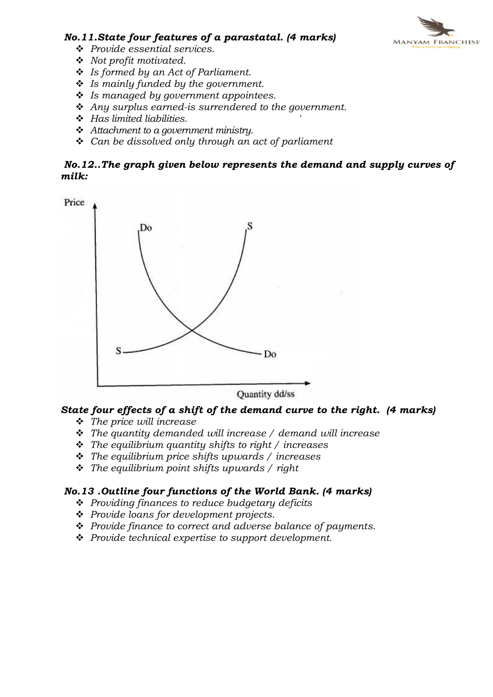

#### No.11.State four features of a parastatal. (4 marks)

- ◆ Provide essential services.
- $\bullet$  Not profit motivated.
- $\div$  Is formed by an Act of Parliament.
- $\cdot$  Is mainly funded by the government.
- $\cdot$  Is managed by government appointees.
- $\triangleq$  Any surplus earned-is surrendered to the government.
- $\div$  Has limited liabilities.
- $\triangleleft$  Attachment to a government ministry.
- $\triangleleft$  Can be dissolved only through an act of parliament

#### No.12..The graph given below represents the demand and supply curves of milk:



## State four effects of a shift of the demand curve to the right. (4 marks)

- $\div$  The price will increase
- $\hat{\mathbf{v}}$  The quantity demanded will increase / demand will increase
- $\div$  The equilibrium quantity shifts to right / increases
- $\div$  The equilibrium price shifts upwards / increases
- $\cdot \cdot$  The equilibrium point shifts upwards / right

#### No.13 .Outline four functions of the World Bank. (4 marks)

- $\div$  Providing finances to reduce budgetary deficits
- $\triangle$  Provide loans for development projects.
- $\triangleq$  Provide finance to correct and adverse balance of payments.
- $\div$  Provide technical expertise to support development.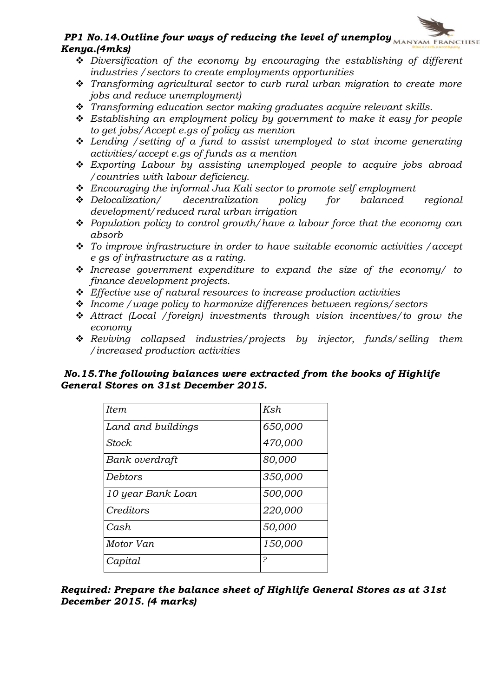# PP1 No.14. Outline four ways of reducing the level of unemploy  $M_{MANYAM}$  FRANCHISE Kenya.(4mks)

- $\div$  Diversification of the economy by encouraging the establishing of different industries /sectors to create employments opportunities
- $\cdot$  Transforming agricultural sector to curb rural urban migration to create more jobs and reduce unemployment)
- \* Transforming education sector making graduates acquire relevant skills.
- $\div$  Establishing an employment policy by government to make it easy for people to get jobs/Accept e.gs of policy as mention
- $\div$  Lending / setting of a fund to assist unemployed to stat income generating activities/accept e.gs of funds as a mention
- $\div$  Exporting Labour by assisting unemployed people to acquire jobs abroad /countries with labour deficiency.
- <p>★ Encouraging the informal Jua Kali sector to promote self employment</p>\n<p>★ Delocalization/ decentralization policy for balanced</p>
- $\div$  Delocalization/ decentralization policy for balanced regional development/reduced rural urban irrigation
- $\div$  Population policy to control growth/have a labour force that the economy can absorb
- $\div$  To improve infrastructure in order to have suitable economic activities / accept e gs of infrastructure as a rating.
- $\cdot$  Increase government expenditure to expand the size of the economy/ to finance development projects.
- $\triangle$  Effective use of natural resources to increase production activities
- $\div$  Income / wage policy to harmonize differences between regions/sectors
- $\triangle$  Attract (Local /foreign) investments through vision incentives/to grow the economy
- $\div$  Reviving collapsed industries/projects by injector, funds/selling them /increased production activities

#### No.15.The following balances were extracted from the books of Highlife General Stores on 31st December 2015.

| <b>Item</b>        | Ksh     |
|--------------------|---------|
| Land and buildings | 650,000 |
| <b>Stock</b>       | 470,000 |
| Bank overdraft     | 80,000  |
| Debtors            | 350,000 |
| 10 year Bank Loan  | 500,000 |
| Creditors          | 220,000 |
| Cash               | 50,000  |
| Motor Van          | 150,000 |
| Capital            | P       |

Required: Prepare the balance sheet of Highlife General Stores as at 31st December 2015. (4 marks)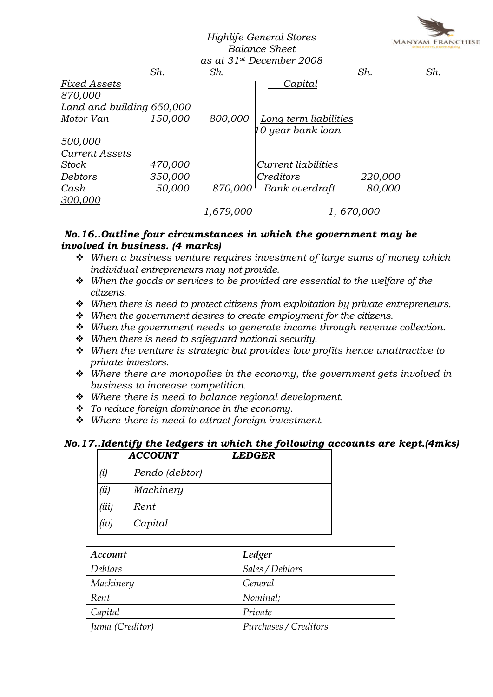

#### Highlife General Stores Balance Sheet as at  $31$ st December 2008

|                           |         |                 | us ut 31 <sup>-.</sup> Deceniber 2000 |         |     |
|---------------------------|---------|-----------------|---------------------------------------|---------|-----|
|                           | Sh.     | <u>Sh.</u>      |                                       | Sh.     | Sh. |
| Fixed Assets              |         |                 | Capital                               |         |     |
| 870,000                   |         |                 |                                       |         |     |
| Land and building 650,000 |         |                 |                                       |         |     |
| Motor Van                 | 150,000 | 800,000         | Long term liabilities                 |         |     |
|                           |         |                 | 10 year bank loan                     |         |     |
| 500,000                   |         |                 |                                       |         |     |
| <b>Current Assets</b>     |         |                 |                                       |         |     |
| Stock                     | 470,000 |                 | Current liabilities                   |         |     |
| Debtors                   | 350,000 |                 | Creditors                             | 220,000 |     |
| Cash                      | 50,000  | 870,000         | Bank overdraft                        | 80,000  |     |
| 300,000                   |         |                 |                                       |         |     |
|                           |         | <u>,679,000</u> |                                       | 670,000 |     |

#### No.16..Outline four circumstances in which the government may be involved in business. (4 marks)

- $\div$  When a business venture requires investment of large sums of money which individual entrepreneurs may not provide.
- $\mathbf{\hat{v}}$  When the goods or services to be provided are essential to the welfare of the citizens.
- $\div$  When there is need to protect citizens from exploitation by private entrepreneurs.
- When the government desires to create employment for the citizens.
- $\div$  When the government needs to generate income through revenue collection.
- $\div$  When there is need to safeguard national security.
- $\div$  When the venture is strategic but provides low profits hence unattractive to private investors.
- $\cdot$  Where there are monopolies in the economy, the government gets involved in business to increase competition.
- $\div$  Where there is need to balance regional development.
- $\cdot \cdot$  To reduce foreign dominance in the economy.
- $\cdot \cdot$  Where there is need to attract foreign investment.

## No.17..Identify the ledgers in which the following accounts are kept.(4mks)

|       | <b>ACCOUNT</b> | <b>LEDGER</b> |  |
|-------|----------------|---------------|--|
| (i)   | Pendo (debtor) |               |  |
| (ii)  | Machinery      |               |  |
| (iii) | Rent           |               |  |
| (iv)  | Capital        |               |  |

| Account         | Ledger                |
|-----------------|-----------------------|
| Debtors         | Sales / Debtors       |
| Machinery       | General               |
| Rent            | Nominal;              |
| Capital         | Private               |
| Juma (Creditor) | Purchases / Creditors |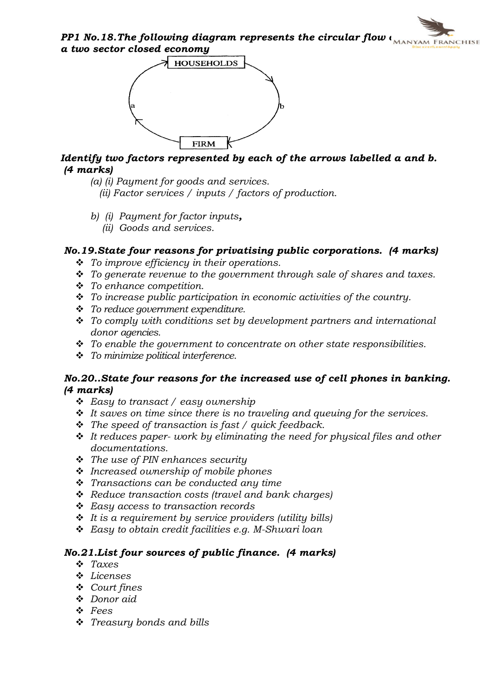PP1 No.18. The following diagram represents the circular flow  $\overline{I_{\text{MANYAM FRMCHISE}}}$ a two sector closed economy



## Identify two factors represented by each of the arrows labelled a and b. (4 marks)

- (a) (i) Payment for goods and services.
	- (ii) Factor services / inputs / factors of production.
- b) (i) Payment for factor inputs,
	- (ii) Goods and services.

## No.19.State four reasons for privatising public corporations. (4 marks)

- $\div$  To improve efficiency in their operations.
- $\div$  To generate revenue to the government through sale of shares and taxes.
- $\div$  To enhance competition.
- $\cdot \cdot$  To increase public participation in economic activities of the country.
- $\div$  To reduce government expenditure.
- $\cdot \cdot$  To comply with conditions set by development partners and international donor agencies.
- $\div$  To enable the government to concentrate on other state responsibilities.
- $\div$  To minimize political interference.

#### No.20..State four reasons for the increased use of cell phones in banking. (4 marks)

- $\div$  Easy to transact / easy ownership
- $\cdot \cdot$  It saves on time since there is no traveling and queuing for the services.
- $\hat{\cdot}$  The speed of transaction is fast / quick feedback.
- $\div$  It reduces paper- work by eliminating the need for physical files and other documentations.
- $\triangle$  The use of PIN enhances security
- $\cdot$  Increased ownership of mobile phones
- $\cdot \cdot$  Transactions can be conducted any time
- $\triangleleft$  Reduce transaction costs (travel and bank charges)
- v Easy access to transaction records
- $\div$  It is a requirement by service providers (utility bills)
- $\triangle$  Easy to obtain credit facilities e.g. M-Shwari loan

## No.21.List four sources of public finance. (4 marks)

- $\div$  Taxes
- v Licenses
- $\div$  Court fines
- v Donor aid
- v Fees
- $\div$  Treasury bonds and bills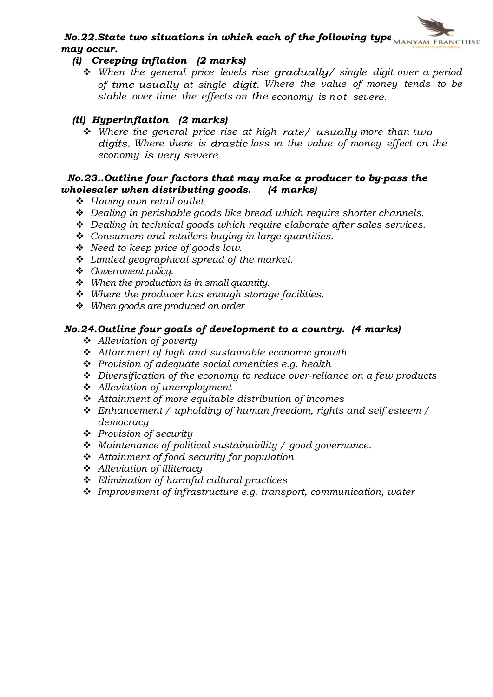# No.22. State two situations in which each of the following type  $\overline{\text{MANYAM FRMCHISE}}$ may occur.

## (i) Creeping inflation (2 marks)

 $\cdot$  When the general price levels rise gradually/ single digit over a period of time usually at single digit. Where the value of money tends to be stable over time the effects on the economy is not severe.

## (ii) Hyperinflation (2 marks)

 $\hat{v}$  Where the general price rise at high rate/ usually more than two digits. Where there is drastic loss in the value of money effect on the economy is very severe

#### No.23..Outline four factors that may make a producer to by-pass the wholesaler when distributing goods. (4 marks)

- $\div$  Having own retail outlet.
- $\div$  Dealing in perishable goods like bread which require shorter channels.
- $\ddot{\cdot}$  Dealing in technical goods which require elaborate after sales services.
- $\div$  Consumers and retailers buying in large quantities.
- $\div$  Need to keep price of goods low.
- $\div$  Limited geographical spread of the market.
- ❖ Government policy.
- $\div$  When the production is in small quantity.
- $\div$  Where the producer has enough storage facilities.
- $\div$  When goods are produced on order

## No.24.Outline four goals of development to a country. (4 marks)

- $\triangleleft$  Alleviation of poverty
- $\triangleq$  Attainment of high and sustainable economic growth
- $\triangle$  Provision of adequate social amenities e.g. health
- $\triangle$  Diversification of the economy to reduce over-reliance on a few products
- $\triangleleft$  Alleviation of unemployment
- $\triangle$  Attainment of more equitable distribution of incomes
- $\div$  Enhancement / upholding of human freedom, rights and self esteem / democracy
- $\triangle$  Provision of security
- \* Maintenance of political sustainability / good governance.
- $\triangleleft$  Attainment of food security for population
- v Alleviation of illiteracy
- $\div$  Elimination of harmful cultural practices
- $\cdot$  Improvement of infrastructure e.g. transport, communication, water